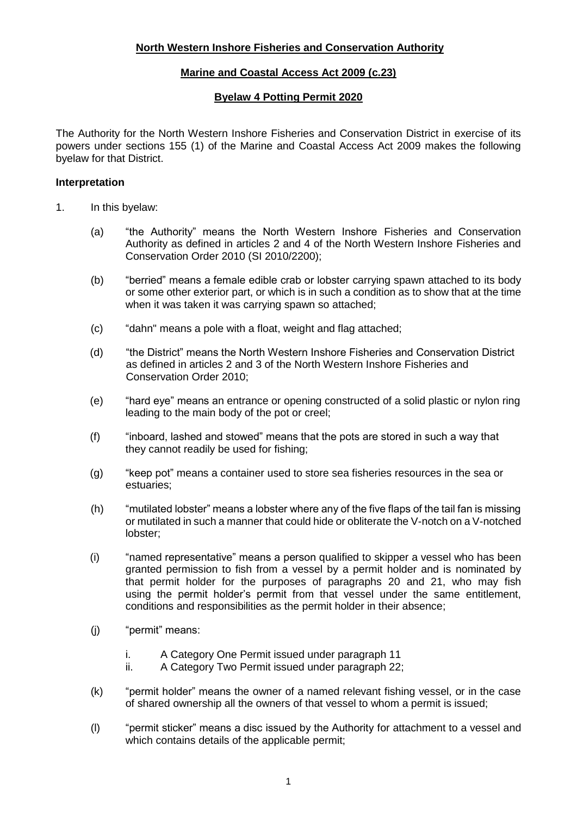# **Marine and Coastal Access Act 2009 (c.23)**

## **Byelaw 4 Potting Permit 2020**

The Authority for the North Western Inshore Fisheries and Conservation District in exercise of its powers under sections 155 (1) of the Marine and Coastal Access Act 2009 makes the following byelaw for that District.

## **Interpretation**

- 1. In this byelaw:
	- (a) "the Authority" means the North Western Inshore Fisheries and Conservation Authority as defined in articles 2 and 4 of the North Western Inshore Fisheries and Conservation Order 2010 (SI 2010/2200);
	- (b) "berried" means a female edible crab or lobster carrying spawn attached to its body or some other exterior part, or which is in such a condition as to show that at the time when it was taken it was carrying spawn so attached;
	- (c) "dahn" means a pole with a float, weight and flag attached;
	- (d) "the District" means the North Western Inshore Fisheries and Conservation District as defined in articles 2 and 3 of the North Western Inshore Fisheries and Conservation Order 2010;
	- (e) "hard eye" means an entrance or opening constructed of a solid plastic or nylon ring leading to the main body of the pot or creel;
	- (f) "inboard, lashed and stowed" means that the pots are stored in such a way that they cannot readily be used for fishing;
	- (g) "keep pot" means a container used to store sea fisheries resources in the sea or estuaries;
	- (h) "mutilated lobster" means a lobster where any of the five flaps of the tail fan is missing or mutilated in such a manner that could hide or obliterate the V-notch on a V-notched lobster;
	- (i) "named representative" means a person qualified to skipper a vessel who has been granted permission to fish from a vessel by a permit holder and is nominated by that permit holder for the purposes of paragraphs 20 and 21, who may fish using the permit holder's permit from that vessel under the same entitlement, conditions and responsibilities as the permit holder in their absence;
	- (j) "permit" means:
		- i. A Category One Permit issued under paragraph 11
		- ii. A Category Two Permit issued under paragraph 22;
	- (k) "permit holder" means the owner of a named relevant fishing vessel, or in the case of shared ownership all the owners of that vessel to whom a permit is issued;
	- (l) "permit sticker" means a disc issued by the Authority for attachment to a vessel and which contains details of the applicable permit: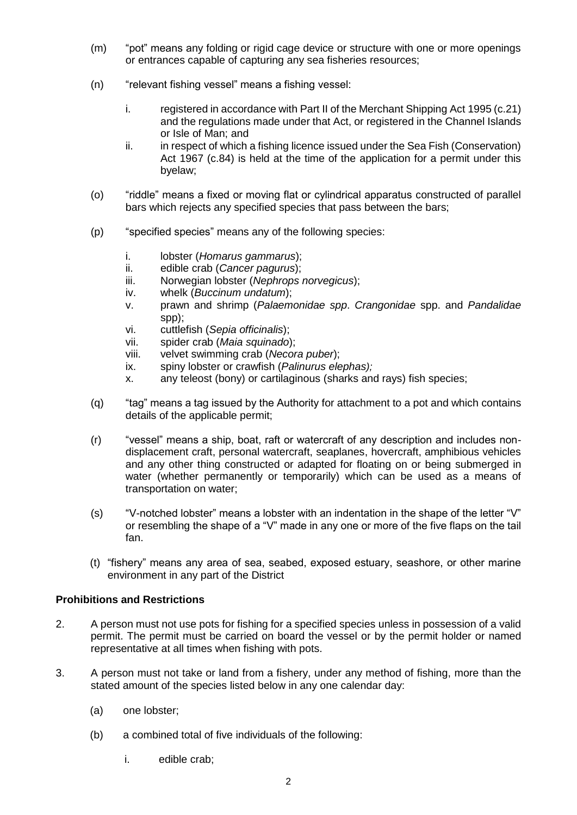- (m) "pot" means any folding or rigid cage device or structure with one or more openings or entrances capable of capturing any sea fisheries resources;
- (n) "relevant fishing vessel" means a fishing vessel:
	- i. registered in accordance with Part II of the Merchant Shipping Act 1995 (c.21) and the regulations made under that Act, or registered in the Channel Islands or Isle of Man; and
	- ii. in respect of which a fishing licence issued under the Sea Fish (Conservation) Act 1967 (c.84) is held at the time of the application for a permit under this byelaw;
- (o) "riddle" means a fixed or moving flat or cylindrical apparatus constructed of parallel bars which rejects any specified species that pass between the bars;
- (p) "specified species" means any of the following species:
	- i. lobster (*Homarus gammarus*);
	- ii. edible crab (*Cancer pagurus*);
	- iii. Norwegian lobster (*Nephrops norvegicus*);
	- iv. whelk (*Buccinum undatum*);
	- v. prawn and shrimp (*Palaemonidae spp*. *Crangonidae* spp. and *Pandalidae* spp);
	- vi. cuttlefish (*Sepia officinalis*);
	- vii. spider crab (*Maia squinado*);
	- viii. velvet swimming crab (*Necora puber*);
	- ix. spiny lobster or crawfish (*Palinurus elephas);*
	- x. any teleost (bony) or cartilaginous (sharks and rays) fish species;
- (q) "tag" means a tag issued by the Authority for attachment to a pot and which contains details of the applicable permit;
- (r) "vessel" means a ship, boat, raft or watercraft of any description and includes nondisplacement craft, personal watercraft, seaplanes, hovercraft, amphibious vehicles and any other thing constructed or adapted for floating on or being submerged in water (whether permanently or temporarily) which can be used as a means of transportation on water;
- (s) "V-notched lobster" means a lobster with an indentation in the shape of the letter "V" or resembling the shape of a "V" made in any one or more of the five flaps on the tail fan.
- (t) "fishery" means any area of sea, seabed, exposed estuary, seashore, or other marine environment in any part of the District

### **Prohibitions and Restrictions**

- 2. A person must not use pots for fishing for a specified species unless in possession of a valid permit. The permit must be carried on board the vessel or by the permit holder or named representative at all times when fishing with pots.
- 3. A person must not take or land from a fishery, under any method of fishing, more than the stated amount of the species listed below in any one calendar day:
	- (a) one lobster;
	- (b) a combined total of five individuals of the following:
		- i. edible crab;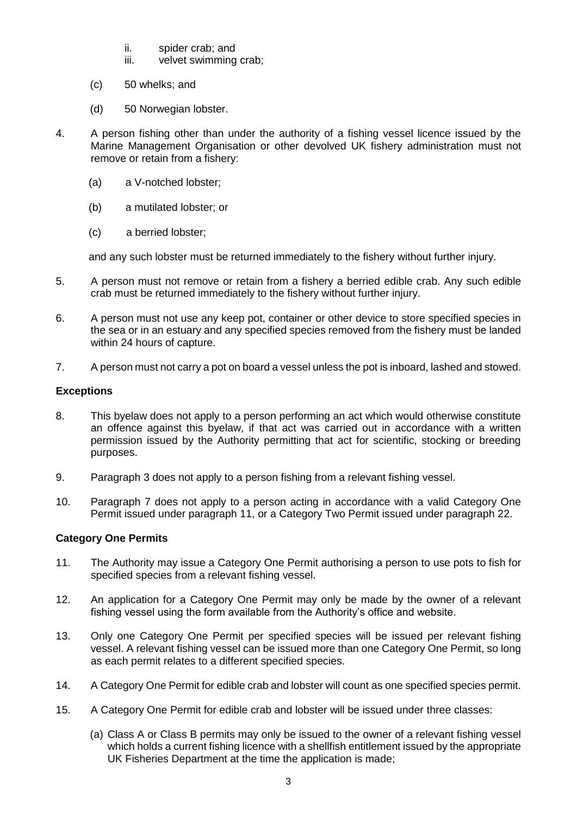- ii. spider crab; and<br>iii. velvet swimming
- velvet swimming crab:
- (c) 50 whelks; and
- (d) 50 Norwegian lobster.
- 4. A person fishing other than under the authority of a fishing vessel licence issued by the Marine Management Organisation or other devolved UK fishery administration must not remove or retain from a fishery:
	- (a) a V-notched lobster;
	- (b) a mutilated lobster; or
	- (c) a berried lobster;

and any such lobster must be returned immediately to the fishery without further injury.

- 5. A person must not remove or retain from a fishery a berried edible crab. Any such edible crab must be returned immediately to the fishery without further injury.
- 6. A person must not use any keep pot, container or other device to store specified species in the sea or in an estuary and any specified species removed from the fishery must be landed within 24 hours of capture.
- 7. A person must not carry a pot on board a vessel unless the pot is inboard, lashed and stowed.

### **Exceptions**

- 8. This byelaw does not apply to a person performing an act which would otherwise constitute an offence against this byelaw, if that act was carried out in accordance with a written permission issued by the Authority permitting that act for scientific, stocking or breeding purposes.
- 9. Paragraph 3 does not apply to a person fishing from a relevant fishing vessel.
- 10. Paragraph 7 does not apply to a person acting in accordance with a valid Category One Permit issued under paragraph 11, or a Category Two Permit issued under paragraph 22.

## **Category One Permits**

- 11. The Authority may issue a Category One Permit authorising a person to use pots to fish for specified species from a relevant fishing vessel.
- 12. An application for a Category One Permit may only be made by the owner of a relevant fishing vessel using the form available from the Authority's office and website.
- 13. Only one Category One Permit per specified species will be issued per relevant fishing vessel. A relevant fishing vessel can be issued more than one Category One Permit, so long as each permit relates to a different specified species.
- 14. A Category One Permit for edible crab and lobster will count as one specified species permit.
- 15. A Category One Permit for edible crab and lobster will be issued under three classes:
	- (a) Class A or Class B permits may only be issued to the owner of a relevant fishing vessel which holds a current fishing licence with a shellfish entitlement issued by the appropriate UK Fisheries Department at the time the application is made;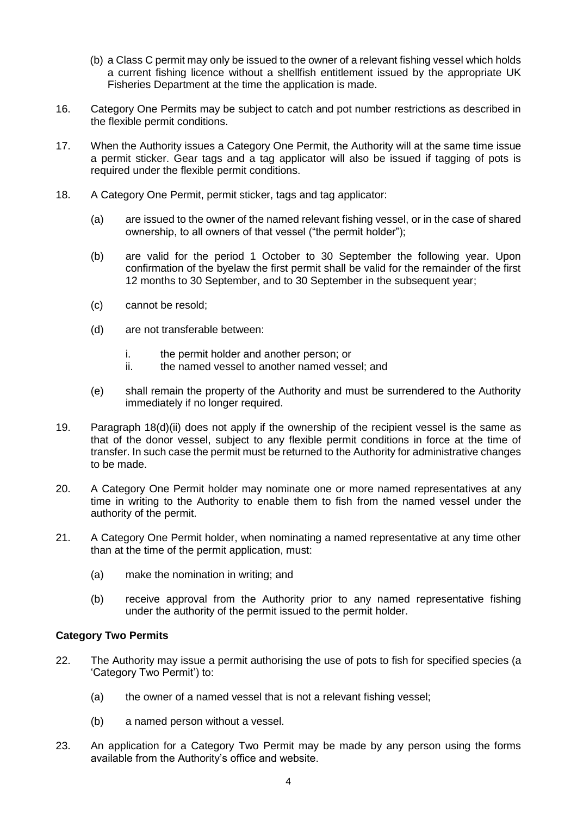- (b) a Class C permit may only be issued to the owner of a relevant fishing vessel which holds a current fishing licence without a shellfish entitlement issued by the appropriate UK Fisheries Department at the time the application is made.
- 16. Category One Permits may be subject to catch and pot number restrictions as described in the flexible permit conditions.
- 17. When the Authority issues a Category One Permit, the Authority will at the same time issue a permit sticker. Gear tags and a tag applicator will also be issued if tagging of pots is required under the flexible permit conditions.
- 18. A Category One Permit, permit sticker, tags and tag applicator:
	- (a) are issued to the owner of the named relevant fishing vessel, or in the case of shared ownership, to all owners of that vessel ("the permit holder");
	- (b) are valid for the period 1 October to 30 September the following year. Upon confirmation of the byelaw the first permit shall be valid for the remainder of the first 12 months to 30 September, and to 30 September in the subsequent year;
	- (c) cannot be resold;
	- (d) are not transferable between:
		- i. the permit holder and another person; or
		- ii. the named vessel to another named vessel; and
	- (e) shall remain the property of the Authority and must be surrendered to the Authority immediately if no longer required.
- 19. Paragraph 18(d)(ii) does not apply if the ownership of the recipient vessel is the same as that of the donor vessel, subject to any flexible permit conditions in force at the time of transfer. In such case the permit must be returned to the Authority for administrative changes to be made.
- 20. A Category One Permit holder may nominate one or more named representatives at any time in writing to the Authority to enable them to fish from the named vessel under the authority of the permit.
- 21. A Category One Permit holder, when nominating a named representative at any time other than at the time of the permit application, must:
	- (a) make the nomination in writing; and
	- (b) receive approval from the Authority prior to any named representative fishing under the authority of the permit issued to the permit holder.

## **Category Two Permits**

- 22. The Authority may issue a permit authorising the use of pots to fish for specified species (a 'Category Two Permit') to:
	- (a) the owner of a named vessel that is not a relevant fishing vessel;
	- (b) a named person without a vessel.
- 23. An application for a Category Two Permit may be made by any person using the forms available from the Authority's office and website.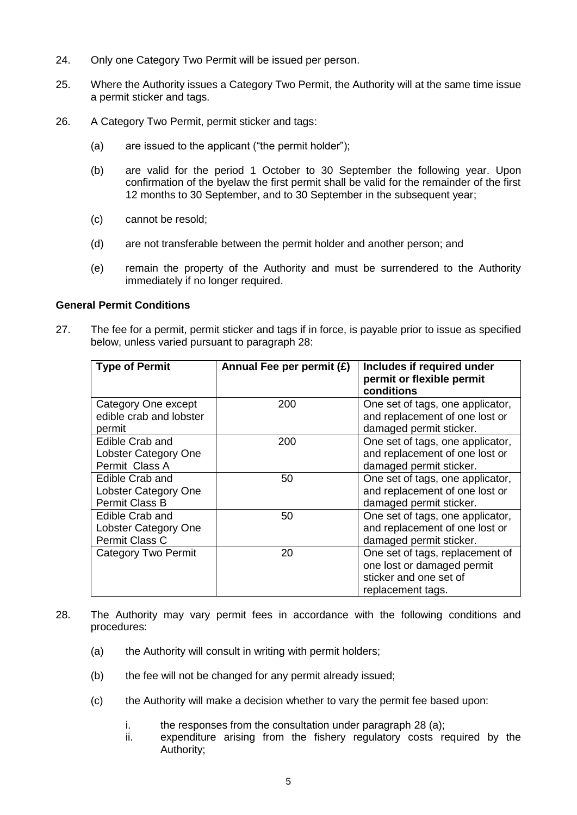- 24. Only one Category Two Permit will be issued per person.
- 25. Where the Authority issues a Category Two Permit, the Authority will at the same time issue a permit sticker and tags.
- 26. A Category Two Permit, permit sticker and tags:
	- (a) are issued to the applicant ("the permit holder");
	- (b) are valid for the period 1 October to 30 September the following year. Upon confirmation of the byelaw the first permit shall be valid for the remainder of the first 12 months to 30 September, and to 30 September in the subsequent year;
	- (c) cannot be resold;
	- (d) are not transferable between the permit holder and another person; and
	- (e) remain the property of the Authority and must be surrendered to the Authority immediately if no longer required.

### **General Permit Conditions**

27. The fee for a permit, permit sticker and tags if in force, is payable prior to issue as specified below, unless varied pursuant to paragraph 28:

| <b>Type of Permit</b>                                            | Annual Fee per permit (£) | Includes if required under<br>permit or flexible permit<br>conditions                                        |
|------------------------------------------------------------------|---------------------------|--------------------------------------------------------------------------------------------------------------|
| Category One except<br>edible crab and lobster<br>permit         | 200                       | One set of tags, one applicator,<br>and replacement of one lost or<br>damaged permit sticker.                |
| Edible Crab and<br>Lobster Category One<br>Permit Class A        | 200                       | One set of tags, one applicator,<br>and replacement of one lost or<br>damaged permit sticker.                |
| Edible Crab and<br><b>Lobster Category One</b><br>Permit Class B | 50                        | One set of tags, one applicator,<br>and replacement of one lost or<br>damaged permit sticker.                |
| Edible Crab and<br><b>Lobster Category One</b><br>Permit Class C | 50                        | One set of tags, one applicator,<br>and replacement of one lost or<br>damaged permit sticker.                |
| <b>Category Two Permit</b>                                       | 20                        | One set of tags, replacement of<br>one lost or damaged permit<br>sticker and one set of<br>replacement tags. |

- 28. The Authority may vary permit fees in accordance with the following conditions and procedures:
	- (a) the Authority will consult in writing with permit holders;
	- (b) the fee will not be changed for any permit already issued;
	- (c) the Authority will make a decision whether to vary the permit fee based upon:
		- i. the responses from the consultation under paragraph  $28$  (a);
		- ii. expenditure arising from the fishery regulatory costs required by the Authority;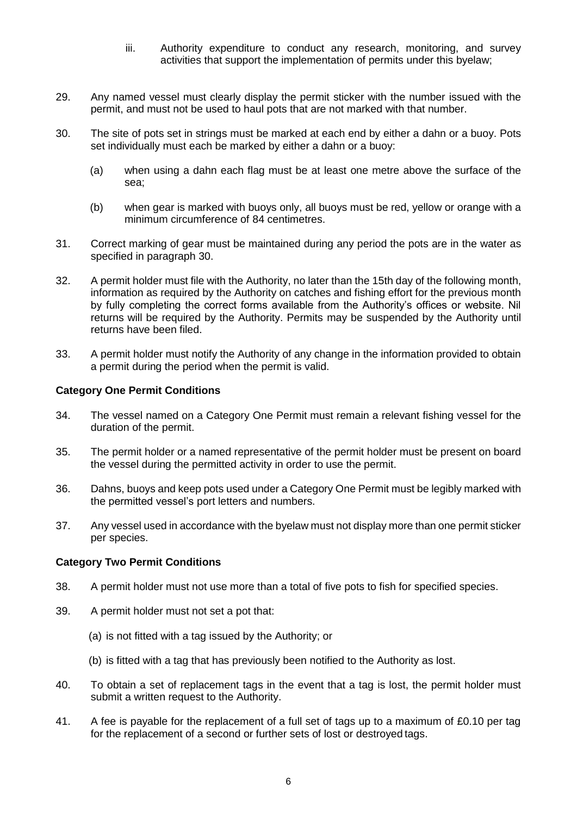- iii. Authority expenditure to conduct any research, monitoring, and survey activities that support the implementation of permits under this byelaw;
- 29. Any named vessel must clearly display the permit sticker with the number issued with the permit, and must not be used to haul pots that are not marked with that number.
- 30. The site of pots set in strings must be marked at each end by either a dahn or a buoy. Pots set individually must each be marked by either a dahn or a buoy:
	- (a) when using a dahn each flag must be at least one metre above the surface of the sea;
	- (b) when gear is marked with buoys only, all buoys must be red, yellow or orange with a minimum circumference of 84 centimetres.
- 31. Correct marking of gear must be maintained during any period the pots are in the water as specified in paragraph 30.
- 32. A permit holder must file with the Authority, no later than the 15th day of the following month, information as required by the Authority on catches and fishing effort for the previous month by fully completing the correct forms available from the Authority's offices or website. Nil returns will be required by the Authority. Permits may be suspended by the Authority until returns have been filed.
- 33. A permit holder must notify the Authority of any change in the information provided to obtain a permit during the period when the permit is valid.

### **Category One Permit Conditions**

- 34. The vessel named on a Category One Permit must remain a relevant fishing vessel for the duration of the permit.
- 35. The permit holder or a named representative of the permit holder must be present on board the vessel during the permitted activity in order to use the permit.
- 36. Dahns, buoys and keep pots used under a Category One Permit must be legibly marked with the permitted vessel's port letters and numbers.
- 37. Any vessel used in accordance with the byelaw must not display more than one permit sticker per species.

#### **Category Two Permit Conditions**

- 38. A permit holder must not use more than a total of five pots to fish for specified species.
- 39. A permit holder must not set a pot that:
	- (a) is not fitted with a tag issued by the Authority; or
	- (b) is fitted with a tag that has previously been notified to the Authority as lost.
- 40. To obtain a set of replacement tags in the event that a tag is lost, the permit holder must submit a written request to the Authority.
- 41. A fee is payable for the replacement of a full set of tags up to a maximum of £0.10 per tag for the replacement of a second or further sets of lost or destroyed tags.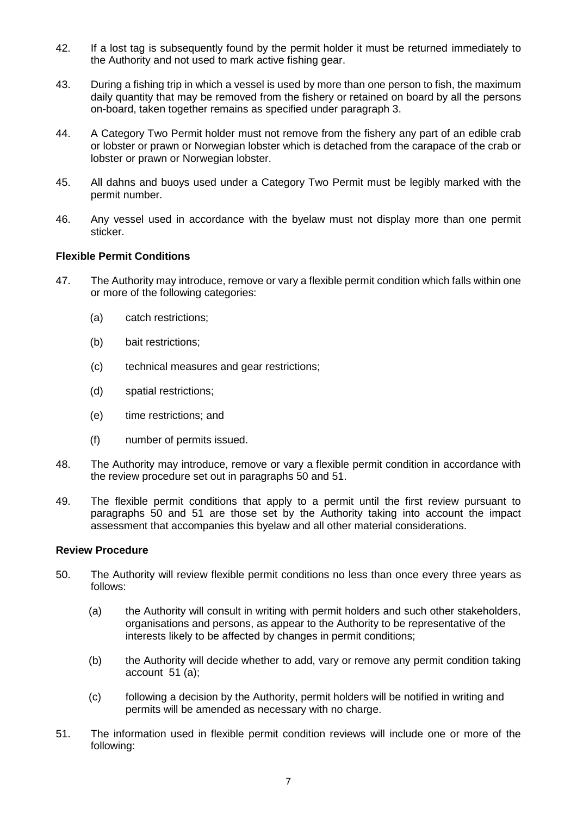- 42. If a lost tag is subsequently found by the permit holder it must be returned immediately to the Authority and not used to mark active fishing gear.
- 43. During a fishing trip in which a vessel is used by more than one person to fish, the maximum daily quantity that may be removed from the fishery or retained on board by all the persons on-board, taken together remains as specified under paragraph 3.
- 44. A Category Two Permit holder must not remove from the fishery any part of an edible crab or lobster or prawn or Norwegian lobster which is detached from the carapace of the crab or lobster or prawn or Norwegian lobster.
- 45. All dahns and buoys used under a Category Two Permit must be legibly marked with the permit number.
- 46. Any vessel used in accordance with the byelaw must not display more than one permit sticker.

### **Flexible Permit Conditions**

- 47. The Authority may introduce, remove or vary a flexible permit condition which falls within one or more of the following categories:
	- (a) catch restrictions;
	- (b) bait restrictions;
	- (c) technical measures and gear restrictions;
	- (d) spatial restrictions;
	- (e) time restrictions; and
	- (f) number of permits issued.
- 48. The Authority may introduce, remove or vary a flexible permit condition in accordance with the review procedure set out in paragraphs 50 and 51.
- 49. The flexible permit conditions that apply to a permit until the first review pursuant to paragraphs 50 and 51 are those set by the Authority taking into account the impact assessment that accompanies this byelaw and all other material considerations.

### **Review Procedure**

- 50. The Authority will review flexible permit conditions no less than once every three years as follows:
	- (a) the Authority will consult in writing with permit holders and such other stakeholders, organisations and persons, as appear to the Authority to be representative of the interests likely to be affected by changes in permit conditions;
	- (b) the Authority will decide whether to add, vary or remove any permit condition taking  $account 51 (a)$ ;
	- (c) following a decision by the Authority, permit holders will be notified in writing and permits will be amended as necessary with no charge.
- 51. The information used in flexible permit condition reviews will include one or more of the following: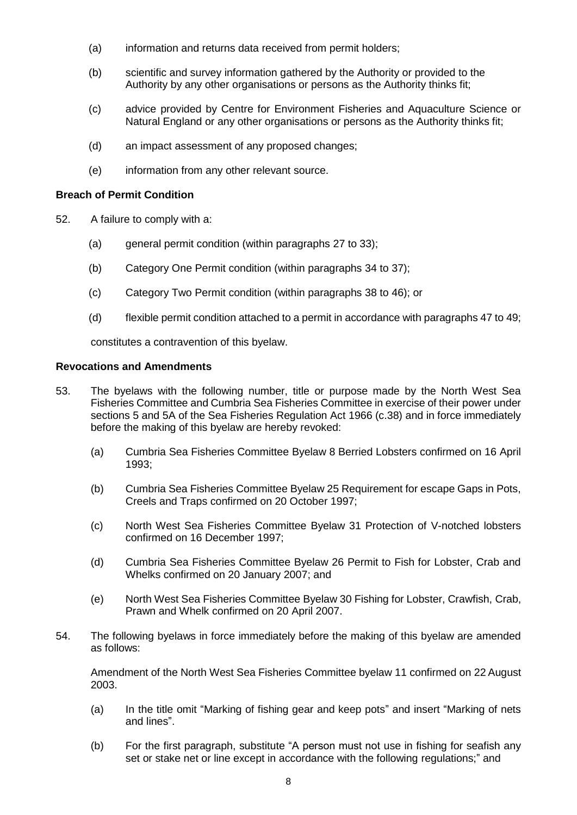- (a) information and returns data received from permit holders;
- (b) scientific and survey information gathered by the Authority or provided to the Authority by any other organisations or persons as the Authority thinks fit;
- (c) advice provided by Centre for Environment Fisheries and Aquaculture Science or Natural England or any other organisations or persons as the Authority thinks fit;
- (d) an impact assessment of any proposed changes;
- (e) information from any other relevant source.

## **Breach of Permit Condition**

- 52. A failure to comply with a:
	- (a) general permit condition (within paragraphs 27 to 33);
	- (b) Category One Permit condition (within paragraphs 34 to 37);
	- (c) Category Two Permit condition (within paragraphs 38 to 46); or
	- (d) flexible permit condition attached to a permit in accordance with paragraphs 47 to 49;

constitutes a contravention of this byelaw.

## **Revocations and Amendments**

- 53. The byelaws with the following number, title or purpose made by the North West Sea Fisheries Committee and Cumbria Sea Fisheries Committee in exercise of their power under sections 5 and 5A of the Sea Fisheries Regulation Act 1966 (c.38) and in force immediately before the making of this byelaw are hereby revoked:
	- (a) Cumbria Sea Fisheries Committee Byelaw 8 Berried Lobsters confirmed on 16 April 1993;
	- (b) Cumbria Sea Fisheries Committee Byelaw 25 Requirement for escape Gaps in Pots, Creels and Traps confirmed on 20 October 1997;
	- (c) North West Sea Fisheries Committee Byelaw 31 Protection of V-notched lobsters confirmed on 16 December 1997;
	- (d) Cumbria Sea Fisheries Committee Byelaw 26 Permit to Fish for Lobster, Crab and Whelks confirmed on 20 January 2007; and
	- (e) North West Sea Fisheries Committee Byelaw 30 Fishing for Lobster, Crawfish, Crab, Prawn and Whelk confirmed on 20 April 2007.
- 54. The following byelaws in force immediately before the making of this byelaw are amended as follows:

Amendment of the North West Sea Fisheries Committee byelaw 11 confirmed on 22 August 2003.

- (a) In the title omit "Marking of fishing gear and keep pots" and insert "Marking of nets and lines".
- (b) For the first paragraph, substitute "A person must not use in fishing for seafish any set or stake net or line except in accordance with the following regulations;" and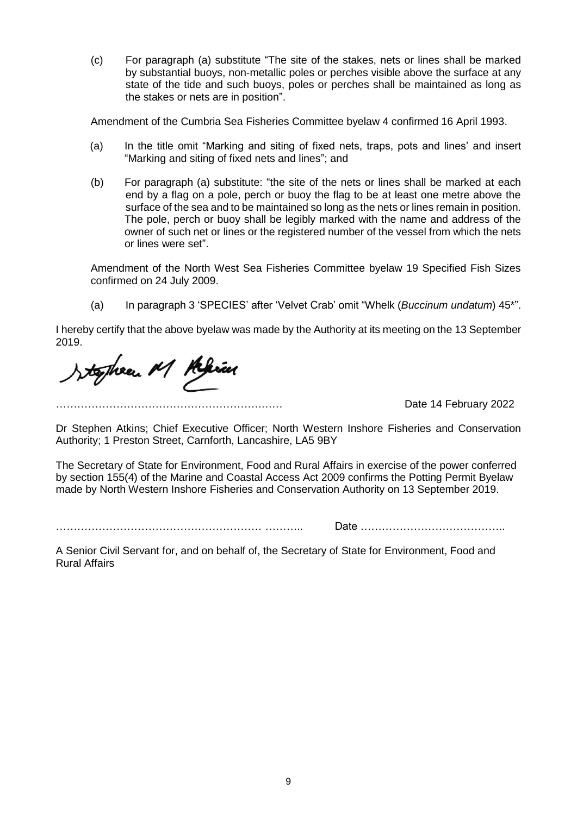(c) For paragraph (a) substitute "The site of the stakes, nets or lines shall be marked by substantial buoys, non-metallic poles or perches visible above the surface at any state of the tide and such buoys, poles or perches shall be maintained as long as the stakes or nets are in position".

Amendment of the Cumbria Sea Fisheries Committee byelaw 4 confirmed 16 April 1993.

- (a) In the title omit "Marking and siting of fixed nets, traps, pots and lines' and insert "Marking and siting of fixed nets and lines"; and
- (b) For paragraph (a) substitute: "the site of the nets or lines shall be marked at each end by a flag on a pole, perch or buoy the flag to be at least one metre above the surface of the sea and to be maintained so long as the nets or lines remain in position. The pole, perch or buoy shall be legibly marked with the name and address of the owner of such net or lines or the registered number of the vessel from which the nets or lines were set".

Amendment of the North West Sea Fisheries Committee byelaw 19 Specified Fish Sizes confirmed on 24 July 2009.

(a) In paragraph 3 'SPECIES' after 'Velvet Crab' omit "Whelk (*Buccinum undatum*) 45\*".

I hereby certify that the above byelaw was made by the Authority at its meeting on the 13 September 2019.

Josphen M Klein

Date 14 February 2022

Dr Stephen Atkins; Chief Executive Officer; North Western Inshore Fisheries and Conservation Authority; 1 Preston Street, Carnforth, Lancashire, LA5 9BY

The Secretary of State for Environment, Food and Rural Affairs in exercise of the power conferred by section 155(4) of the Marine and Coastal Access Act 2009 confirms the Potting Permit Byelaw made by North Western Inshore Fisheries and Conservation Authority on 13 September 2019.

…………………………………………………. ……….. Date …………………………………..

A Senior Civil Servant for, and on behalf of, the Secretary of State for Environment, Food and Rural Affairs